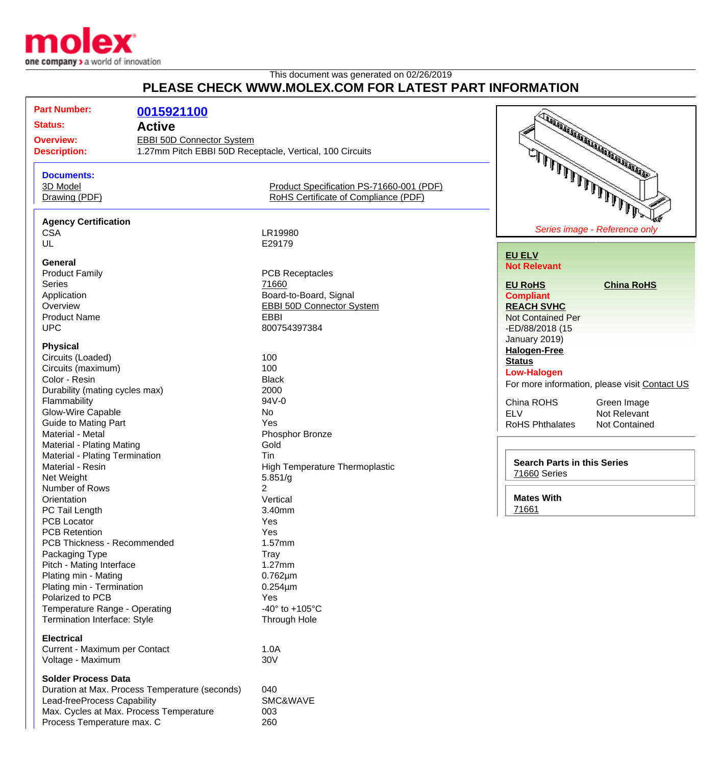

## This document was generated on 02/26/2019 **PLEASE CHECK WWW.MOLEX.COM FOR LATEST PART INFORMATION**

| <b>Part Number:</b>                     |                                                |                                                          |                                                                                   |
|-----------------------------------------|------------------------------------------------|----------------------------------------------------------|-----------------------------------------------------------------------------------|
|                                         | 0015921100                                     |                                                          | <b>CONSTRUCTION OF THE AUTOMOTIVE REGISTER</b>                                    |
| <b>Status:</b>                          | <b>Active</b>                                  |                                                          |                                                                                   |
| <b>Overview:</b>                        | EBBI 50D Connector System                      |                                                          |                                                                                   |
| <b>Description:</b>                     |                                                | 1.27mm Pitch EBBI 50D Receptacle, Vertical, 100 Circuits |                                                                                   |
|                                         |                                                |                                                          | يتمثل <u>المال المالي المالي المالي.</u><br>المستمثل المالي المالي المالي المالي. |
| <b>Documents:</b>                       |                                                |                                                          |                                                                                   |
| 3D Model                                |                                                | Product Specification PS-71660-001 (PDF)                 |                                                                                   |
| Drawing (PDF)                           |                                                | RoHS Certificate of Compliance (PDF)                     |                                                                                   |
|                                         |                                                |                                                          |                                                                                   |
| <b>Agency Certification</b>             |                                                |                                                          |                                                                                   |
| <b>CSA</b>                              |                                                | LR19980                                                  | Series image - Reference only                                                     |
| UL                                      |                                                | E29179                                                   |                                                                                   |
|                                         |                                                |                                                          | <b>EU ELV</b>                                                                     |
| <b>General</b>                          |                                                |                                                          | <b>Not Relevant</b>                                                               |
| <b>Product Family</b>                   |                                                | <b>PCB Receptacles</b>                                   |                                                                                   |
| <b>Series</b>                           |                                                | 71660                                                    | <b>EU RoHS</b><br><b>China RoHS</b>                                               |
| Application                             |                                                | Board-to-Board, Signal                                   | <b>Compliant</b>                                                                  |
| Overview                                |                                                | <b>EBBI 50D Connector System</b><br><b>EBBI</b>          | <b>REACH SVHC</b>                                                                 |
| <b>Product Name</b>                     |                                                |                                                          | <b>Not Contained Per</b>                                                          |
| <b>UPC</b>                              |                                                | 800754397384                                             | -ED/88/2018 (15                                                                   |
| <b>Physical</b>                         |                                                |                                                          | January 2019)                                                                     |
| Circuits (Loaded)                       |                                                | 100                                                      | <b>Halogen-Free</b>                                                               |
| Circuits (maximum)                      |                                                | 100                                                      | <b>Status</b>                                                                     |
| Color - Resin                           |                                                | <b>Black</b>                                             | <b>Low-Halogen</b>                                                                |
| Durability (mating cycles max)          |                                                | 2000                                                     | For more information, please visit Contact US                                     |
| Flammability                            |                                                | 94V-0                                                    | China ROHS<br>Green Image                                                         |
| Glow-Wire Capable                       |                                                | No                                                       | <b>ELV</b><br>Not Relevant                                                        |
| <b>Guide to Mating Part</b>             |                                                | Yes                                                      | <b>RoHS Phthalates</b><br>Not Contained                                           |
| Material - Metal                        |                                                | Phosphor Bronze                                          |                                                                                   |
| <b>Material - Plating Mating</b>        |                                                | Gold                                                     |                                                                                   |
| Material - Plating Termination          |                                                | Tin                                                      |                                                                                   |
| Material - Resin                        |                                                | High Temperature Thermoplastic                           | <b>Search Parts in this Series</b>                                                |
| Net Weight                              |                                                | 5.851/g                                                  | 71660 Series                                                                      |
| Number of Rows                          |                                                | 2                                                        |                                                                                   |
| Orientation                             |                                                | Vertical                                                 | <b>Mates With</b>                                                                 |
| PC Tail Length                          |                                                | 3.40mm                                                   | 71661                                                                             |
| <b>PCB Locator</b>                      |                                                | Yes                                                      |                                                                                   |
| <b>PCB Retention</b>                    |                                                | Yes                                                      |                                                                                   |
| PCB Thickness - Recommended             |                                                | 1.57mm                                                   |                                                                                   |
| Packaging Type                          |                                                | Tray                                                     |                                                                                   |
| Pitch - Mating Interface                |                                                | 1.27mm                                                   |                                                                                   |
| Plating min - Mating                    |                                                | $0.762 \mu m$                                            |                                                                                   |
| Plating min - Termination               |                                                | $0.254 \mu m$                                            |                                                                                   |
| Polarized to PCB                        |                                                | Yes                                                      |                                                                                   |
| Temperature Range - Operating           |                                                | -40 $\degree$ to +105 $\degree$ C                        |                                                                                   |
| <b>Termination Interface: Style</b>     |                                                | Through Hole                                             |                                                                                   |
| <b>Electrical</b>                       |                                                |                                                          |                                                                                   |
| Current - Maximum per Contact           |                                                | 1.0A                                                     |                                                                                   |
| Voltage - Maximum                       |                                                | 30V                                                      |                                                                                   |
|                                         |                                                |                                                          |                                                                                   |
| <b>Solder Process Data</b>              |                                                |                                                          |                                                                                   |
|                                         | Duration at Max. Process Temperature (seconds) | 040                                                      |                                                                                   |
| Lead-freeProcess Capability             |                                                | SMC&WAVE                                                 |                                                                                   |
| Max. Cycles at Max. Process Temperature |                                                | 003                                                      |                                                                                   |
| Process Temperature max. C              |                                                | 260                                                      |                                                                                   |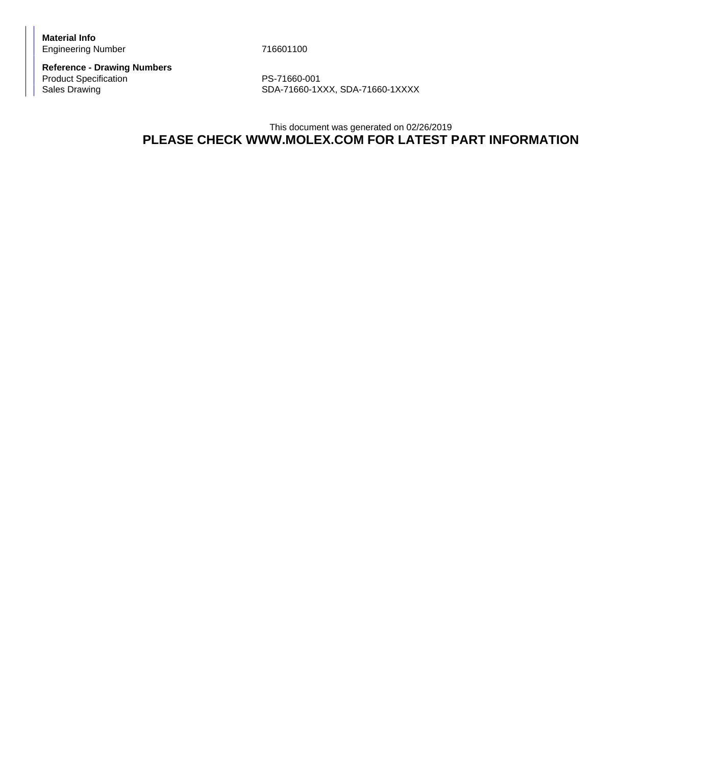**Material Info** Engineering Number 716601100

**Reference - Drawing Numbers** Product Specification<br>
Sales Drawing<br>
Sales Drawing<br>
PS-71660-1X

SDA-71660-1XXX, SDA-71660-1XXXX

## This document was generated on 02/26/2019 **PLEASE CHECK WWW.MOLEX.COM FOR LATEST PART INFORMATION**